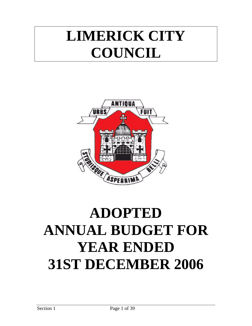# **LIMERICK CITY COUNCIL**



# **ADOPTED ANNUAL BUDGET FOR YEAR ENDED 31ST DECEMBER 2006**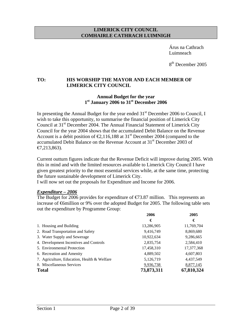#### **LIMERICK CITY COUNCIL COMHAIRLE CATHRACH LUIMNIGH**

 Árus na Cathrach Luimneach

8<sup>th</sup> December 2005

## **TO: HIS WORSHIP THE MAYOR AND EACH MEMBER OF LIMERICK CITY COUNCIL**

#### **Annual Budget for the year 1st January 2006 to 31st December 2006**

In presenting the Annual Budget for the year ended  $31<sup>st</sup>$  December 2006 to Council, I wish to take this opportunity, to summarise the financial position of Limerick City Council at 31<sup>st</sup> December 2004. The Annual Financial Statement of Limerick City Council for the year 2004 shows that the accumulated Debit Balance on the Revenue Account is a debit position of  $\epsilon 2,116,188$  at 31<sup>st</sup> December 2004 (compared to the accumulated Debit Balance on the Revenue Account at 31<sup>st</sup> December 2003 of  $€7,213,863$ ).

Current outturn figures indicate that the Revenue Deficit will improve during 2005. With this in mind and with the limited resources available to Limerick City Council I have given greatest priority to the most essential services while, at the same time, protecting the future sustainable development of Limerick City.

I will now set out the proposals for Expenditure and Income for 2006.

#### *Expenditure – 2006*

The Budget for 2006 provides for expenditure of  $\epsilon$  73.87 million. This represents an increase of €6million or 9% over the adopted Budget for 2005. The following table sets out the expenditure by Programme Group:

| 2006       | 2005       |
|------------|------------|
| €          | €          |
| 13,286,905 | 11,769,704 |
| 9,416,749  | 8,869,680  |
| 10,922,634 | 9,286,665  |
| 2,835,754  | 2,584,410  |
| 17,458,310 | 17,377,368 |
| 4,889,502  | 4,607,803  |
| 5,126,719  | 4,437,549  |
| 9,936,738  | 8,877,145  |
| 73,873,311 | 67,810,324 |
|            |            |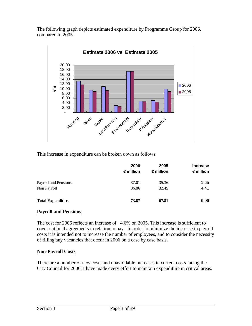The following graph depicts estimated expenditure by Programme Group for 2006, compared to 2005.



This increase in expenditure can be broken down as follows:

|                          | 2006<br>∈million | 2005<br>$\epsilon$ million | <b>Increase</b><br>$\epsilon$ million |
|--------------------------|------------------|----------------------------|---------------------------------------|
| Payroll and Pensions     | 37.01            | 35.36                      | 1.65                                  |
| Non Payroll              | 36.86            | 32.45                      | 4.41                                  |
| <b>Total Expenditure</b> | 73.87            | 67.81                      | 6.06                                  |

## **Payroll and Pensions**

The cost for 2006 reflects an increase of 4.6% on 2005. This increase is sufficient to cover national agreements in relation to pay. In order to minimize the increase in payroll costs it is intended not to increase the number of employees, and to consider the necessity of filling any vacancies that occur in 2006 on a case by case basis.

#### **Non-Payroll Costs**

There are a number of new costs and unavoidable increases in current costs facing the City Council for 2006. I have made every effort to maintain expenditure in critical areas.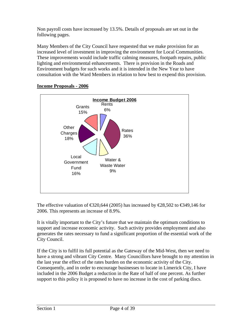Non payroll costs have increased by 13.5%. Details of proposals are set out in the following pages.

Many Members of the City Council have requested that we make provision for an increased level of investment in improving the environment for Local Communities. These improvements would include traffic calming measures, footpath repairs, public lighting and environmental enhancements. There is provision in the Roads and Environment budgets for such works and it is intended in the New Year to have consultation with the Ward Members in relation to how best to expend this provision.



## **Income Proposals - 2006**

The effective valuation of  $\text{\textsterling}30,644$  (2005) has increased by  $\text{\textsterling}28,502$  to  $\text{\textsterling}349,146$  for 2006. This represents an increase of 8.9%.

It is vitally important to the City's future that we maintain the optimum conditions to support and increase economic activity. Such activity provides employment and also generates the rates necessary to fund a significant proportion of the essential work of the City Council.

If the City is to fulfil its full potential as the Gateway of the Mid-West, then we need to have a strong and vibrant City Centre. Many Councillors have brought to my attention in the last year the effect of the rates burden on the economic activity of the City. Consequently, and in order to encourage businesses to locate in Limerick City, I have included in the 2006 Budget a reduction in the Rate of half of one percent. As further support to this policy it is proposed to have no increase in the cost of parking discs.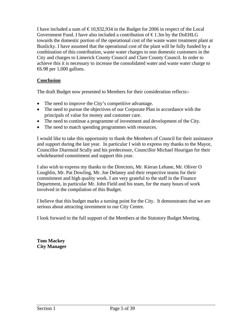I have included a sum of  $\text{\textsterling}10,932,934$  in the Budget for 2006 in respect of the Local Government Fund. I have also included a contribution of  $\epsilon$ 1.3m by the DoEHLG towards the domestic portion of the operational cost of the waste water treatment plant at Bunlicky. I have assumed that the operational cost of the plant will be fully funded by a combination of this contribution, waste water charges to non domestic customers in the City and charges to Limerick County Council and Clare County Council. In order to achieve this it is necessary to increase the consolidated water and waste water charge to €6.98 per 1,000 gallons.

## **Conclusion**

The draft Budget now presented to Members for their consideration reflects:-

- The need to improve the City's competitive advantage.
- The need to pursue the objectives of our Corporate Plan in accordance with the principals of value for money and customer care.
- The need to continue a programme of investment and development of the City.
- The need to match spending programmes with resources.

I would like to take this opportunity to thank the Members of Council for their assistance and support during the last year. In particular I wish to express my thanks to the Mayor, Councillor Diarmuid Scully and his predecessor, Councillor Michael Hourigan for their wholehearted commitment and support this year.

I also wish to express my thanks to the Directors, Mr. Kieran Lehane, Mr. Oliver O Loughlin, Mr. Pat Dowling, Mr. Joe Delaney and their respective teams for their commitment and high quality work. I am very grateful to the staff in the Finance Department, in particular Mr. John Field and his team, for the many hours of work involved in the compilation of this Budget.

I believe that this budget marks a turning point for the City. It demonstrates that we are serious about attracting investment to our City Centre.

I look forward to the full support of the Members at the Statutory Budget Meeting.

**Tom Mackey City Manager**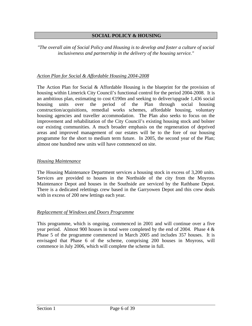#### **SOCIAL POLICY & HOUSING**

*"The overall aim of Social Policy and Housing is to develop and foster a culture of social inclusiveness and partnership in the delivery of the housing service."*

## *Action Plan for Social & Affordable Housing 2004-2008*

The Action Plan for Social & Affordable Housing is the blueprint for the provision of housing within Limerick City Council's functional control for the period 2004-2008. It is an ambitious plan, estimating to cost  $\bigoplus$  90m and seeking to deliver/upgrade 1,436 social housing units over the period of the Plan through social housing construction/acquisitions, remedial works schemes, affordable housing, voluntary housing agencies and traveller accommodation. The Plan also seeks to focus on the improvement and rehabilitation of the City Council's existing housing stock and bolster our existing communities. A much broader emphasis on the regeneration of deprived areas and improved management of our estates will be to the fore of our housing programme for the short to medium term future. In 2005, the second year of the Plan; almost one hundred new units will have commenced on site.

#### *Housing Maintenance*

The Housing Maintenance Department services a housing stock in excess of 3,200 units. Services are provided to houses in the Northside of the city from the Moyross Maintenance Depot and houses in the Southside are serviced by the Rathbane Depot. There is a dedicated relettings crew based in the Garryowen Depot and this crew deals with in excess of 200 new lettings each year.

#### *Replacement of Windows and Doors Programme*

This programme, which is ongoing, commenced in 2001 and will continue over a five year period. Almost 900 houses in total were completed by the end of 2004. Phase 4 & Phase 5 of the programme commenced in March 2005 and includes 357 houses. It is envisaged that Phase 6 of the scheme, comprising 200 houses in Moyross, will commence in July 2006, which will complete the scheme in full.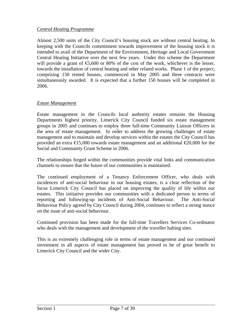## *Central Heating Programme*

Almost 2,500 units of the City Council's housing stock are without central heating. In keeping with the Councils commitment towards improvement of the housing stock it is intended to avail of the Department of the Environment, Heritage and Local Government Central Heating Initiative over the next few years. Under this scheme the Department will provide a grant of  $\epsilon$ 5,600 or 80% of the cost of the work, whichever is the lesser, towards the installation of central heating and other related works. Phase 1 of the project, comprising 150 rented houses, commenced in May 2005 and three contracts were simultaneously awarded. It is expected that a further 150 houses will be completed in 2006.

## *Estate Management*

Estate management in the Councils local authority estates remains the Housing Departments highest priority. Limerick City Council funded six estate management groups in 2005 and continues to employ three full-time Community Liaison Officers in the area of estate management. In order to address the growing challenges of estate management and to maintain and develop services within the estates the City Council has provided an extra  $\epsilon$ 15,000 towards estate management and an additional  $\epsilon$ 20,000 for the Social and Community Grant Scheme in 2006.

The relationships forged within the communities provide vital links and communication channels to ensure that the future of our communities is maintained.

The continued employment of a Tenancy Enforcement Officer, who deals with incidences of anti-social behaviour in our housing estates, is a clear reflection of the focus Limerick City Council has placed on improving the quality of life within our estates. This initiative provides our communities with a dedicated person in terms of reporting and following-up incidents of Anti-Social Behaviour. The Anti-Social Behaviour Policy agreed by City Council during 2004, continues to reflect a strong stance on the issue of anti-social behaviour.

Continued provision has been made for the full-time Travellers Services Co-ordinator who deals with the management and development of the traveller halting sites.

This is an extremely challenging role in terms of estate management and our continued investment in all aspects of estate management has proved to be of great benefit to Limerick City Council and the wider City.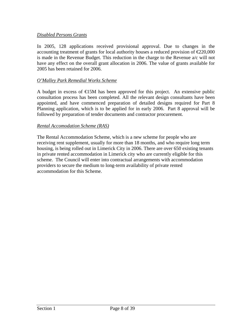## *Disabled Persons Grants*

In 2005, 128 applications received provisional approval. Due to changes in the accounting treatment of grants for local authority houses a reduced provision of  $\epsilon$ 20,000 is made in the Revenue Budget. This reduction in the charge to the Revenue a/c will not have any effect on the overall grant allocation in 2006. The value of grants available for 2005 has been retained for 2006.

#### *O'Malley Park Remedial Works Scheme*

A budget in excess of  $\bigoplus$  5M has been approved for this project. An extensive public consultation process has been completed. All the relevant design consultants have been appointed, and have commenced preparation of detailed designs required for Part 8 Planning application, which is to be applied for in early 2006. Part 8 approval will be followed by preparation of tender documents and contractor procurement.

#### *Rental Accomodation Scheme (RAS)*

The Rental Accommodation Scheme, which is a new scheme for people who are receiving rent supplement, usually for more than 18 months, and who require long term housing, is being rolled out in Limerick City in 2006. There are over 650 existing tenants in private rented accommodation in Limerick city who are currently eligible for this scheme. The Council will enter into contractual arrangements with accommodation providers to secure the medium to long-term availability of private rented accommodation for this Scheme.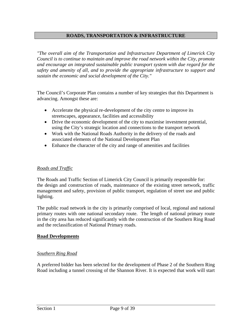## **ROADS, TRANSPORTATION & INFRASTRUCTURE**

*"The overall aim of the Transportation and Infrastructure Department of Limerick City Council is to continue to maintain and improve the road network within the City, promote and encourage an integrated sustainable public transport system with due regard for the safety and amenity of all, and to provide the appropriate infrastructure to support and sustain the economic and social development of the City."*

The Council's Corporate Plan contains a number of key strategies that this Department is advancing. Amongst these are:

- Accelerate the physical re-development of the city centre to improve its streetscapes, appearance, facilities and accessibility
- Drive the economic development of the city to maximise investment potential*,*  using the City's strategic location and connections to the transport network
- Work with the National Roads Authority in the delivery of the roads and associated elements of the National Development Plan
- Enhance the character of the city and range of amenities and facilities

#### *Roads and Traffic*

The Roads and Traffic Section of Limerick City Council is primarily responsible for: the design and construction of roads, maintenance of the existing street network, traffic management and safety, provision of public transport, regulation of street use and public lighting.

The public road network in the city is primarily comprised of local, regional and national primary routes with one national secondary route. The length of national primary route in the city area has reduced significantly with the construction of the Southern Ring Road and the reclassification of National Primary roads.

#### **Road Developments**

## *Southern Ring Road*

A preferred bidder has been selected for the development of Phase 2 of the Southern Ring Road including a tunnel crossing of the Shannon River. It is expected that work will start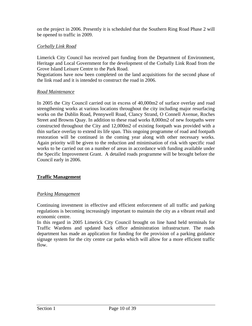on the project in 2006. Presently it is scheduled that the Southern Ring Road Phase 2 will be opened to traffic in 2009.

## *Corbally Link Road*

Limerick City Council has received part funding from the Department of Environment, Heritage and Local Government for the development of the Corbally Link Road from the Grove Island Leisure Centre to the Park Road.

Negotiations have now been completed on the land acquisitions for the second phase of the link road and it is intended to construct the road in 2006.

#### *Road Maintenance*

In 2005 the City Council carried out in excess of 40,000m2 of surface overlay and road strengthening works at various locations throughout the city including major resurfacing works on the Dublin Road, Pennywell Road, Clancy Strand, O Connell Avenue, Roches Street and Browns Quay. In addition to these road works 8,000m2 of new footpaths were constructed throughout the City and 12,000m2 of existing footpath was provided with a thin surface overlay to extend its life span. This ongoing programme of road and footpath restoration will be continued in the coming year along with other necessary works. Again priority will be given to the reduction and minimisation of risk with specific road works to be carried out on a number of areas in accordance with funding available under the Specific Improvement Grant. A detailed roads programme will be brought before the Council early in 2006.

## **Traffic Management**

## *Parking Management*

Continuing investment in effective and efficient enforcement of all traffic and parking regulations is becoming increasingly important to maintain the city as a vibrant retail and economic centre.

In this regard in 2005 Limerick City Council brought on line hand held terminals for Traffic Wardens and updated back office administration infrastructure. The roads department has made an application for funding for the provision of a parking guidance signage system for the city centre car parks which will allow for a more efficient traffic flow.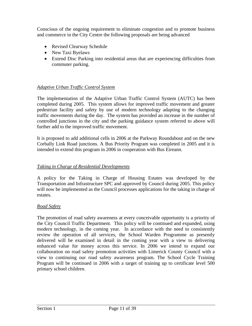Conscious of the ongoing requirement to eliminate congestion and to promote business and commerce in the City Centre the following proposals are being advanced

- Revised Clearway Schedule
- New Taxi Byelaws
- Extend Disc Parking into residential areas that are experiencing difficulties from commuter parking.

## *Adaptive Urban Traffic Control System*

The implementation of the Adaptive Urban Traffic Control System (AUTC) has been completed during 2005. This system allows for improved traffic movement and greater pedestrian facility and safety by use of modern technology adapting to the changing traffic movements during the day. The system has provided an increase in the number of controlled junctions in the city and the parking guidance system referred to above will further add to the improved traffic movement.

It is proposed to add additional cells in 2006 at the Parkway Roundabout and on the new Corbally Link Road junctions. A Bus Priority Program was completed in 2005 and it is intended to extend this program in 2006 in cooperation with Bus Eireann.

## *Taking in Charge of Residential Developments*

A policy for the Taking in Charge of Housing Estates was developed by the Transportation and Infrastructure SPC and approved by Council during 2005. This policy will now be implemented as the Council processes applications for the taking in charge of estates.

## *Road Safety*

The promotion of road safety awareness at every conceivable opportunity is a priority of the City Council Traffic Department. This policy will be continued and expanded, using modern technology, in the coming year. In accordance with the need to consistently review the operation of all services, the School Warden Programme as presently delivered will be examined in detail in the coming year with a view to delivering enhanced value for money across this service. In 2006 we intend to expand our collaboration on road safety promotion activities with Limerick County Council with a view to continuing our road safety awareness program. The School Cycle Training Program will be continued in 2006 with a target of training up to certificate level 500 primary school children.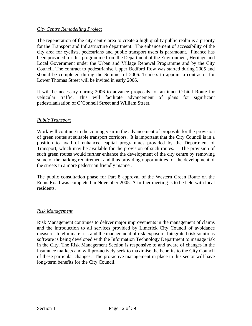## *City Centre Remodelling Project*

The regeneration of the city centre area to create a high quality public realm is a priority for the Transport and Infrastructure department. The enhancement of accessibility of the city area for cyclists, pedestrians and public transport users is paramount. Finance has been provided for this programme from the Department of the Environment, Heritage and Local Government under the Urban and Village Renewal Programme and by the City Council. The contract to pedestrianise Upper Bedford Row was started during 2005 and should be completed during the Summer of 2006. Tenders to appoint a contractor for Lower Thomas Street will be invited in early 2006.

It will be necessary during 2006 to advance proposals for an inner Orbital Route for vehicular traffic. This will facilitate advancement of plans for significant pedestrianisation of O'Connell Street and William Street.

## *Public Transport*

Work will continue in the coming year in the advancement of proposals for the provision of green routes at suitable transport corridors. It is important that the City Council is in a position to avail of enhanced capital programmes provided by the Department of Transport, which may be available for the provision of such routes. The provision of such green routes would further enhance the development of the city centre by removing some of the parking requirement and thus providing opportunities for the development of the streets in a more pedestrian friendly manner.

The public consultation phase for Part 8 approval of the Western Green Route on the Ennis Road was completed in November 2005. A further meeting is to be held with local residents.

## *Risk Management*

Risk Management continues to deliver major improvements in the management of claims and the introduction to all services provided by Limerick City Council of avoidance measures to eliminate risk and the management of risk exposure. Integrated risk solutions software is being developed with the Information Technology Department to manage risk in the City. The Risk Management Section is responsive to and aware of changes in the insurance markets and will pro-actively seek to maximise the benefits to the City Council of these particular changes. The pro-active management in place in this sector will have long-term benefits for the City Council.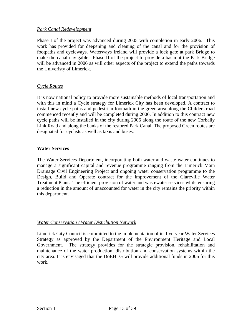## *Park Canal Redevelopment*

Phase I of the project was advanced during 2005 with completion in early 2006. This work has provided for deepening and cleaning of the canal and for the provision of footpaths and cycleways. Waterways Ireland will provide a lock gate at park Bridge to make the canal navigable. Phase II of the project to provide a basin at the Park Bridge will be advanced in 2006 as will other aspects of the project to extend the paths towards the Univeristy of Limerick.

## *Cycle Routes*

It is now national policy to provide more sustainable methods of local transportation and with this in mind a Cycle strategy for Limerick City has been developed. A contract to install new cycle paths and pedestrian footpath in the green area along the Childers road commenced recently and will be completed during 2006. In addition to this contract new cycle paths will be installed in the city during 2006 along the route of the new Corbally Link Road and along the banks of the restored Park Canal. The proposed Green routes are designated for cyclists as well as taxis and buses.

## **Water Services**

The Water Services Department, incorporating both water and waste water continues to manage a significant capital and revenue programme ranging from the Limerick Main Drainage Civil Engineering Project and ongoing water conservation programme to the Design, Build and Operate contract for the improvement of the Clareville Water Treatment Plant. The efficient provision of water and wastewater services while ensuring a reduction in the amount of unaccounted for water in the city remains the priority within this department.

## *Water Conservation / Water Distribution Network*

Limerick City Council is committed to the implementation of its five-year Water Services Strategy as approved by the Department of the Environment Heritage and Local Government. The strategy provides for the strategic provision, rehabilitation and maintenance of the water production, distribution and conservation systems within the city area. It is envisaged that the DoEHLG will provide additional funds in 2006 for this work.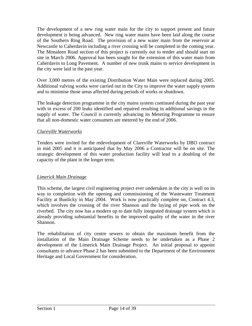The development of a new ring water main for the city to support present and future development is being advanced. New ring water mains have been laid along the course of the Southern Ring Road. The provision of a new water main from the reservoir at Newcastle to Caherdavin including a river crossing will be completed in the coming year. The Monaleen Road section of this project is currently out to tender and should start on site in March 2006. Approval has been sought for the extension of this water main from Caherdavin to Long Pavement. A number of new trunk mains to service development in the city were laid in the past year.

Over 3,000 metres of the existing Distribution Water Main were replaced during 2005. Additional valving works were carried out in the City to improve the water supply system and to minimise those areas affected during periods of works or shutdown.

The leakage detection programme in the city mains system continued during the past year with in excess of 200 leaks identified and repaired resulting in additional savings in the supply of water. The Council is currently advancing its Metering Programme to ensure that all non-domestic water consumers are metered by the end of 2006.

## *Clareville Waterworks*

Tenders were invited for the redevelopment of Clareville Waterworks by DBO contract in mid 2005 and it is anticipated that by May 2006 a Contractor will be on site. The strategic development of this water production facility will lead to a doubling of the capacity of the plant in the longer term.

## *Limerick Main Drainage*

This scheme, the largest civil engineering project ever undertaken in the city is well on its way to completion with the opening and commissioning of the Wastewater Treatment Facility at Bunlicky in May 2004. Work is now practically complete on, Contract 4.3, which involves the crossing of the river Shannon and the laying of pipe work on the riverbed. The city now has a modern up to date fully integrated drainage system which is already providing substantial benefits in the improved quality of the water in the river Shannon.

The rehabilitation of city centre sewers to obtain the maximum benefit from the installation of the Main Drainage Scheme needs to be undertaken as a Phase 2 development of the Limerick Main Drainage Project. An initial proposal to appoint consultants to advance Phase 2 has been submitted to the Department of the Environment Heritage and Local Government for consideration.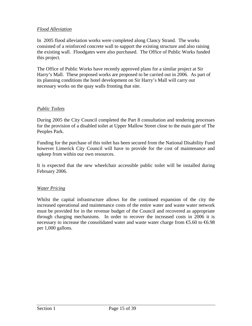## *Flood Alleviation*

In 2005 flood alleviation works were completed along Clancy Strand. The works consisted of a reinforced concrete wall to support the existing structure and also raising the existing wall. Floodgates were also purchased. The Office of Public Works funded this project.

The Office of Public Works have recently approved plans for a similar project at Sir Harry's Mall. These proposed works are proposed to be carried out in 2006. As part of its planning conditions the hotel development on Sir Harry's Mall will carry out necessary works on the quay walls fronting that site.

## *Public Toilets*

During 2005 the City Council completed the Part 8 consultation and tendering processes for the provision of a disabled toilet at Upper Mallow Street close to the main gate of The Peoples Park.

Funding for the purchase of this toilet has been secured from the National Disability Fund however Limerick City Council will have to provide for the cost of maintenance and upkeep from within our own resources.

It is expected that the new wheelchair accessible public toilet will be installed during February 2006.

## *Water Pricing*

Whilst the capital infrastructure allows for the continued expansion of the city the increased operational and maintenance costs of the entire water and waste water network must be provided for in the revenue budget of the Council and recovered as appropriate through charging mechanisms. In order to recover the increased costs in 2006 it is necessary to increase the consolidated water and waste water charge from  $\epsilon$ 5.60 to  $\epsilon$ 6.98 per 1,000 gallons.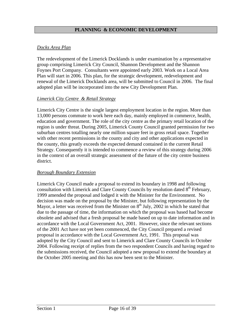## **PLANNING & ECONOMIC DEVELOPMENT**

## *Docks Area Plan*

The redevelopment of the Limerick Docklands is under examination by a representative group comprising Limerick City Council, Shannon Development and the Shannon Foynes Port Company. Consultants were appointed early 2003. Work on a Local Area Plan will start in 2006. This plan, for the strategic development, redevelopment and renewal of the Limerick Docklands area, will be submitted to Council in 2006. The final adopted plan will be incorporated into the new City Development Plan.

## *Limerick City Centre & Retail Strategy*

Limerick City Centre is the single largest employment location in the region. More than 13,000 persons commute to work here each day, mainly employed in commerce, health, education and government. The role of the city centre as the primary retail location of the region is under threat. During 2005, Limerick County Council granted permission for two suburban centres totalling nearly one million square feet in gross retail space. Together with other recent permissions in the county and city and other applications expected in the county, this greatly exceeds the expected demand contained in the current Retail Strategy. Consequently it is intended to commence a review of this strategy during 2006 in the context of an overall strategic assessment of the future of the city centre business district.

#### *Borough Boundary Extension*

Limerick City Council made a proposal to extend its boundary in 1998 and following consultation with Limerick and Clare County Councils by resolution dated  $8<sup>th</sup>$  February, 1999 amended the proposal and lodged it with the Minister for the Environment. No decision was made on the proposal by the Minister, but following representation by the Mayor, a letter was received from the Minister on  $8<sup>th</sup>$  July, 2002 in which he stated that due to the passage of time, the information on which the proposal was based had become obsolete and advised that a fresh proposal be made based on up to date information and in accordance with the Local Government Act, 2001. However, since the relevant sections of the 2001 Act have not yet been commenced, the City Council prepared a revised proposal in accordance with the Local Government Act, 1991. This proposal was adopted by the City Council and sent to Limerick and Clare County Councils in October 2004. Following receipt of replies from the two respondent Councils and having regard to the submissions received, the Council adopted a new proposal to extend the boundary at the October 2005 meeting and this has now been sent to the Minister.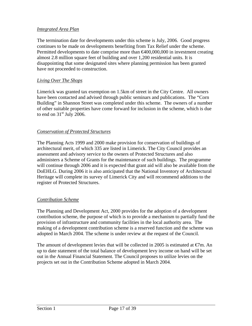## *Integrated Area Plan*

The termination date for developments under this scheme is July, 2006. Good progress continues to be made on developments benefiting from Tax Relief under the scheme. Permitted developments to date comprise more than  $\epsilon 400,000,000$  in investment creating almost 2.8 million square feet of building and over 1,200 residential units. It is disappointing that some designated sites where planning permission has been granted have not proceeded to construction.

## *Living Over The Shops*

Limerick was granted tax exemption on 1.5km of street in the City Centre. All owners have been contacted and advised through public seminars and publications. The "Corn Building" in Shannon Street was completed under this scheme. The owners of a number of other suitable properties have come forward for inclusion in the scheme, which is due to end on  $31<sup>st</sup>$  July 2006.

## *Conservation of Protected Structures*

The Planning Acts 1999 and 2000 make provision for conservation of buildings of architectural merit, of which 335 are listed in Limerick. The City Council provides an assessment and advisory service to the owners of Protected Structures and also administers a Scheme of Grants for the maintenance of such buildings. The programme will continue through 2006 and it is expected that grant aid will also be available from the DoEHLG. During 2006 it is also anticipated that the National Inventory of Architectural Heritage will complete its survey of Limerick City and will recommend additions to the register of Protected Structures.

## *Contribution Scheme*

The Planning and Development Act, 2000 provides for the adoption of a development contribution scheme, the purpose of which is to provide a mechanism to partially fund the provision of infrastructure and community facilities in the local authority area. The making of a development contribution scheme is a reserved function and the scheme was adopted in March 2004. The scheme is under review at the request of the Council.

The amount of development levies that will be collected in 2005 is estimated at  $\epsilon$ *m*. An up to date statement of the total balance of development levy income on hand will be set out in the Annual Financial Statement. The Council proposes to utilize levies on the projects set out in the Contribution Scheme adopted in March 2004.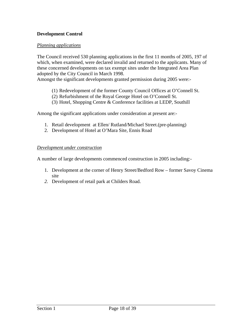## **Development Control**

## *Planning applications*

The Council received 530 planning applications in the first 11 months of 2005, 197 of which, when examined, were declared invalid and returned to the applicants. Many of these concerned developments on tax exempt sites under the Integrated Area Plan adopted by the City Council in March 1998.

Amongst the significant developments granted permission during 2005 were:-

- (1) Redevelopment of the former County Council Offices at O'Connell St.
- (2) Refurbishment of the Royal George Hotel on O'Connell St.
- (3) Hotel, Shopping Centre & Conference facilities at LEDP, Southill

Among the significant applications under consideration at present are:-

- 1. Retail development at Ellen/ Rutland/Michael Street.(pre-planning)
- 2. Development of Hotel at O'Mara Site, Ennis Road

#### *Development under construction*

A number of large developments commenced construction in 2005 including:-

- 1. Development at the corner of Henry Street/Bedford Row former Savoy Cinema site
- *2.* Development of retail park at Childers Road.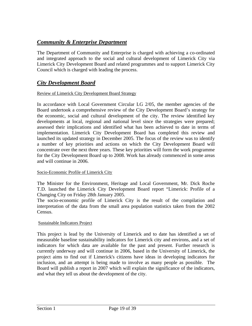## *Community & Enterprise Department*

The Department of Community and Enterprise is charged with achieving a co-ordinated and integrated approach to the social and cultural development of Limerick City via Limerick City Development Board and related programmes and to support Limerick City Council which is charged with leading the process.

## *City Development Board*

#### Review of Limerick City Development Board Strategy

In accordance with Local Government Circular LG 2/05, the member agencies of the Board undertook a comprehensive review of the City Development Board's strategy for the economic, social and cultural development of the city. The review identified key developments at local, regional and national level since the strategies were prepared; assessed their implications and identified what has been achieved to date in terms of implementation. Limerick City Development Board has completed this review and launched its updated strategy in December 2005. The focus of the review was to identify a number of key priorities and actions on which the City Development Board will concentrate over the next three years. These key priorities will form the work programme for the City Development Board up to 2008. Work has already commenced in some areas and will continue in 2006.

## Socio-Economic Profile of Limerick City

The Minister for the Environment, Heritage and Local Government, Mr. Dick Roche T.D. launched the Limerick City Development Board report "Limerick: Profile of a Changing City on Friday 28th January 2005.

The socio-economic profile of Limerick City is the result of the compilation and interpretation of the data from the small area population statistics taken from the 2002 Census.

## Sustainable Indicators Project

This project is lead by the University of Limerick and to date has identified a set of measurable baseline sustainability indicators for Limerick city and environs, and a set of indicators for which data are available for the past and present. Further research is currently underway and will continue in 2006, based in the University of Limerick, the project aims to find out if Limerick's citizens have ideas in developing indicators for inclusion, and an attempt is being made to involve as many people as possible. The Board will publish a report in 2007 which will explain the significance of the indicators, and what they tell us about the development of the city.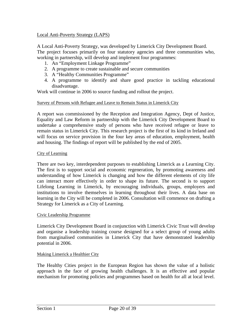## Local Anti-Poverty Strategy (LAPS)

A Local Anti-Poverty Strategy, was developed by Limerick City Development Board. The project focuses primarily on four statutory agencies and three communities who, working in partnership, will develop and implement four programmes:

- 1. An "Employment Linkage Programme"
- 2. A programme to create sustainable and secure communities
- 3. A "Healthy Communities Programme"
- 4. A programme to identify and share good practice in tackling educational disadvantage.

Work will continue in 2006 to source funding and rollout the project.

#### Survey of Persons with Refugee and Leave to Remain Status in Limerick City

A report was commissioned by the Reception and Integration Agency, Dept of Justice, Equality and Law Reform in partnership with the Limerick City Development Board to undertake a comprehensive study of persons who have received refugee or leave to remain status in Limerick City. This research project is the first of its kind in Ireland and will focus on service provision in the four key areas of education, employment, health and housing. The findings of report will be published by the end of 2005.

#### City of Learning

There are two key, interdependent purposes to establishing Limerick as a Learning City. The first is to support social and economic regeneration, by promoting awareness and understanding of how Limerick is changing and how the different elements of city life can interact more effectively in order to shape its future. The second is to support Lifelong Learning in Limerick, by encouraging individuals, groups, employers and institutions to involve themselves in learning throughout their lives. A data base on learning in the City will be completed in 2006. Consultation will commence on drafting a Strategy for Limerick as a City of Learning.

#### Civic Leadership Programme

Limerick City Development Board in conjunction with Limerick Civic Trust will develop and organise a leadership training course designed for a select group of young adults from marginalised communities in Limerick City that have demonstrated leadership potential in 2006.

#### Making Limerick a Healthier City

The Healthy Cities project in the European Region has shown the value of a holistic approach in the face of growing health challenges. It is an effective and popular mechanism for promoting policies and programmes based on health for all at local level.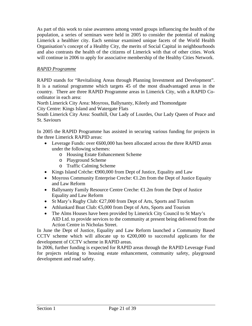As part of this work to raise awareness among vested groups influencing the health of the population, a series of seminars were held in 2005 to consider the potential of making Limerick a healthier city. Each seminar examined unique facets of the World Health Organisation's concept of a Healthy City, the merits of Social Capital in neighbourhoods and also contrasts the health of the citizens of Limerick with that of other cities. Work will continue in 2006 to apply for associative membership of the Healthy Cities Network.

## *RAPID Programme*

RAPID stands for "Revitalising Areas through Planning Investment and Development". It is a national programme which targets 45 of the most disadvantaged areas in the country. There are three RAPID Programme areas in Limerick City, with a RAPID Coordinator in each area:

North Limerick City Area: Moyross, Ballynanty, Kileely and Thomondgate City Centre: Kings Island and Watergate Flats

South Limerick City Area: Southill, Our Lady of Lourdes, Our Lady Queen of Peace and St. Saviours

In 2005 the RAPID Programme has assisted in securing various funding for projects in the three Limerick RAPID areas:

- Leverage Funds: over  $600,000$  has been allocated across the three RAPID areas under the following schemes:
	- o Housing Estate Enhancement Scheme
	- o Playground Scheme
	- o Traffic Calming Scheme
- Kings Island Crèche:  $\epsilon$ 900,000 from Dept of Justice, Equality and Law
- Moyross Community Enterprise Creche:  $\bigoplus$ . 2m from the Dept of Justice Equaity and Law Reform
- Ballynanty Family Resource Centre Creche: €1.2m from the Dept of Justice Equality and Law Reform
- St Mary's Rugby Club: €27,000 from Dept of Arts, Sports and Tourism
- Athlunkard Boat Club: €5,000 from Dept of Arts, Sports and Tourism
- The Alms Houses have been provided by Limerick City Council to St Mary's AID Ltd. to provide services to the community at present being delivered from the Action Centre in Nicholas Street.

In June the Dept of Justice, Equality and Law Reform launched a Community Based CCTV scheme which will allocate up to  $\epsilon$ 200,000 to successful applicants for the development of CCTV scheme in RAPID areas.

In 2006, further funding is expected for RAPID areas through the RAPID Leverage Fund for projects relating to housing estate enhancement, community safety, playground development and road safety.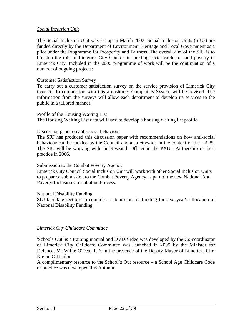## *Social Inclusion Unit*

The Social Inclusion Unit was set up in March 2002. Social Inclusion Units (SIUs) are funded directly by the Department of Environment, Heritage and Local Government as a pilot under the Programme for Prosperity and Fairness. The overall aim of the SIU is to broaden the role of Limerick City Council in tackling social exclusion and poverty in Limerick City. Included in the 2006 programme of work will be the continuation of a number of ongoing projects:

#### Customer Satisfaction Survey

To carry out a customer satisfaction survey on the service provision of Limerick City Council. In conjunction with this a customer Complaints System will be devised. The information from the surveys will allow each department to develop its services to the public in a tailored manner.

Profile of the Housing Waiting List The Housing Waiting List data will used to develop a housing waiting list profile.

#### Discussion paper on anti-social behaviour

The SIU has produced this discussion paper with recommendations on how anti-social behaviour can be tackled by the Council and also citywide in the context of the LAPS. The SIU will be working with the Research Officer in the PAUL Partnership on best practice in 2006.

Submission to the Combat Poverty Agency

Limerick City Council Social Inclusion Unit will work with other Social Inclusion Units to prepare a submission to the Combat Poverty Agency as part of the new National Anti Poverty/Inclusion Consultation Process.

National Disability Funding

SIU facilitate sections to compile a submission for funding for next year's allocation of National Disability Funding.

#### *Limerick City Childcare Committee*

'Schools Out' is a training manual and DVD/Video was developed by the Co-coordinator of Limerick City Childcare Committee was launched in 2005 by the Minister for Defence, Mr Willie O'Dea, T.D. in the presence of the Deputy Mayor of Limerick, Cllr. Kieran O'Hanlon.

A complimentary resource to the School's Out resource – a School Age Childcare Code of practice was developed this Autumn.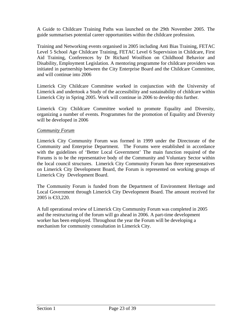A Guide to Childcare Training Paths was launched on the 29th November 2005. The guide summarises potential career opportunities within the childcare profession.

Training and Networking events organised in 2005 including Anti Bias Training, FETAC Level 5 School Age Childcare Training, FETAC Level 6 Supervision in Childcare, First Aid Training, Conferences by Dr Richard Woolfson on Childhood Behavior and Disability, Employment Legislation. A mentoring programme for childcare providers was initiated in partnership between the City Enterprise Board and the Childcare Committee, and will continue into 2006

Limerick City Childcare Committee worked in conjunction with the University of Limerick and undertook a Study of the accessibility and sustainability of childcare within Limerick City in Spring 2005. Work will continue in 2006 to develop this further.

Limerick City Childcare Committee worked to promote Equality and Diversity, organizing a number of events. Programmes for the promotion of Equality and Diversity will be developed in 2006

#### *Community Forum*

Limerick City Community Forum was formed in 1999 under the Directorate of the Community and Enterprise Department. The Forums were established in accordance with the guidelines of 'Better Local Government' The main function required of the Forums is to be the representative body of the Community and Voluntary Sector within the local council structures. Limerick City Community Forum has three representatives on Limerick City Development Board, the Forum is represented on working groups of Limerick City Development Board.

The Community Forum is funded from the Department of Environment Heritage and Local Government through Limerick City Development Board. The amount received for 2005 is €33,220.

A full operational review of Limerick City Community Forum was completed in 2005 and the restructuring of the forum will go ahead in 2006. A part-time development worker has been employed. Throughout the year the Forum will be developing a mechanism for community consultation in Limerick City.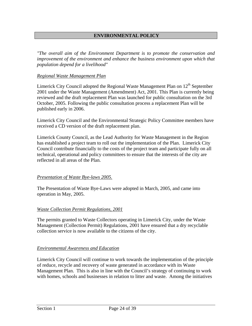## **ENVIRONMENTAL POLICY**

*"The overall aim of the Environment Department is to promote the conservation and improvement of the environment and enhance the business environment upon which that population depend for a livelihood"* 

#### *Regional Waste Management Plan*

Limerick City Council adopted the Regional Waste Management Plan on  $12<sup>th</sup>$  September 2001 under the Waste Management (Amendment) Act, 2001. This Plan is currently being reviewed and the draft replacement Plan was launched for public consultation on the 3rd October, 2005. Following the public consultation process a replacement Plan will be published early in 2006.

Limerick City Council and the Environmental Strategic Policy Committee members have received a CD version of the draft replacement plan.

Limerick County Council, as the Lead Authority for Waste Management in the Region has established a project team to roll out the implementation of the Plan. Limerick City Council contribute financially to the costs of the project team and participate fully on all technical, operational and policy committees to ensure that the interests of the city are reflected in all areas of the Plan.

#### *Presentation of Waste Bye-laws 2005.*

The Presentation of Waste Bye-Laws were adopted in March, 2005, and came into operation in May, 2005.

#### *Waste Collection Permit Regulations, 2001*

The permits granted to Waste Collectors operating in Limerick City, under the Waste Management (Collection Permit) Regulations, 2001 have ensured that a dry recyclable collection service is now available to the citizens of the city.

#### *Environmental Awareness and Education*

Limerick City Council will continue to work towards the implementation of the principle of reduce, recycle and recovery of waste generated in accordance with its Waste Management Plan. This is also in line with the Council's strategy of continuing to work with homes, schools and businesses in relation to litter and waste. Among the initiatives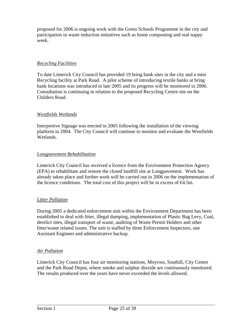proposed for 2006 is ongoing work with the Green Schools Programme in the city and participation in waste reduction initiatives such as home composting and real nappy week.

## *Recycling Facilities*

To date Limerick City Council has provided 19 bring bank sites in the city and a mini Recycling facility at Park Road. A pilot scheme of introducing textile banks at bring bank locations was introduced in late 2005 and its progress will be monitored in 2006. Consultation is continuing in relation to the proposed Recycling Centre site on the Childers Road.

## *Westfields Wetlands*

Interpretive Signage was erected in 2005 following the installation of the viewing platform in 2004. The City Council will continue to monitor and evaluate the Westfields Wetlands.

## *Longpavement Rehabilitation*

Limerick City Council has received a licence from the Environment Protection Agency (EPA) to rehabilitate and restore the closed landfill site at Longpavement. Work has already taken place and further work will be carried out in 2006 on the implementation of the licence conditions. The total cost of this project will be in excess of  $\bigoplus$ .5m.

## *Litter Pollution*

During 2005 a dedicated enforcement unit within the Environment Department has been established to deal with litter, illegal dumping, implementation of Plastic Bag Levy, Coal, derelict sites, illegal transport of waste, auditing of Waste Permit Holders and other litter/waste related issues. The unit is staffed by three Enforcement Inspectors, one Assistant Engineer and administrative backup.

## *Air Pollution*

Limerick City Council has four air monitoring stations, Moyross, Southill, City Centre and the Park Road Depot, where smoke and sulphur dioxide are continuously monitored. The results produced over the years have never exceeded the levels allowed.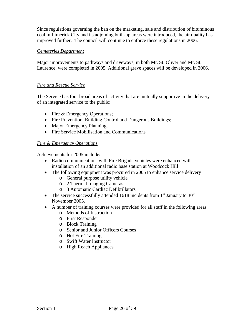Since regulations governing the ban on the marketing, sale and distribution of bituminous coal in Limerick City and its adjoining built-up areas were introduced, the air quality has improved further. The council will continue to enforce these regulations in 2006.

## *Cemeteries Department*

Major improvements to pathways and driveways, in both Mt. St. Oliver and Mt. St. Laurence, were completed in 2005. Additional grave spaces will be developed in 2006.

## *Fire and Rescue Service*

The Service has four broad areas of activity that are mutually supportive in the delivery of an integrated service to the public:

- Fire & Emergency Operations;
- Fire Prevention, Building Control and Dangerous Buildings;
- Major Emergency Planning;
- Fire Service Mobilisation and Communications

## *Fire & Emergency Operations*

Achievements for 2005 include**:** 

- Radio communications with Fire Brigade vehicles were enhanced with installation of an additional radio base station at Woodcock Hill
- The following equipment was procured in 2005 to enhance service delivery
	- o General purpose utility vehicle
	- o 2 Thermal Imaging Cameras
	- o 3 Automatic Cardiac Defibrillators
- The service successfully attended 1618 incidents from  $1<sup>st</sup>$  January to 30<sup>th</sup> November 2005.
- A number of training courses were provided for all staff in the following areas
	- o Methods of Instruction
	- o First Responder
	- o Block Training
	- o Senior and Junior Officers Courses
	- o Hot Fire Training
	- o Swift Water Instructor
	- o High Reach Appliances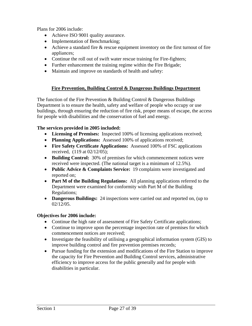Plans for 2006 include:

- Achieve ISO 9001 quality assurance.
- Implementation of Benchmarking;
- Achieve a standard fire & rescue equipment inventory on the first turnout of fire appliances;
- Continue the roll out of swift water rescue training for Fire-fighters;
- Further enhancement the training regime within the Fire Brigade;
- Maintain and improve on standards of health and safety:

## **Fire Prevention, Building Control & Dangerous Buildings Department**

The function of the Fire Prevention  $\&$  Building Control  $\&$  Dangerous Buildings Department is to ensure the health, safety and welfare of people who occupy or use buildings, through ensuring the reduction of fire risk, proper means of escape, the access for people with disabilities and the conservation of fuel and energy.

## **The services provided in 2005 included:**

- **Licensing of Premises:** Inspected 100% of licensing applications received;
- **Planning Applications:** Assessed 100% of applications received;
- **Fire Safety Certificate Applications:** Assessed 100% of FSC applications received, (119 at 02/12/05);
- **Building Control:** 30% of premises for which commencement notices were received were inspected. (The national target is a minimum of 12.5%).
- **Public Advice & Complaints Service:** 19 complaints were investigated and reported on;
- **Part M of the Building Regulations:** All planning applications referred to the Department were examined for conformity with Part M of the Building Regulations;
- **Dangerous Buildings:** 24 inspections were carried out and reported on, (up to 02/12/05.

## **Objectives for 2006 include:**

- Continue the high rate of assessment of Fire Safety Certificate applications;
- Continue to improve upon the percentage inspection rate of premises for which commencement notices are received;
- Investigate the feasibility of utilising a geographical information system (GIS) to improve building control and fire prevention premises records;
- Pursue funding for the extension and modifications of the Fire Station to improve the capacity for Fire Prevention and Building Control services, administrative efficiency to improve access for the public generally and for people with disabilities in particular.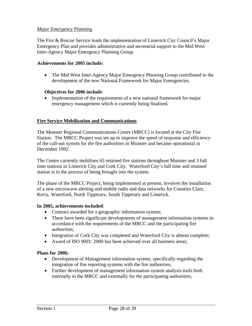## *Major Emergency Planning*

The Fire & Rescue Service leads the implementation of Limerick City Council's Major Emergency Plan and provides administrative and secretarial support to the Mid West Inter-Agency Major Emergency Planning Group.

#### **Achievements for 2005 include:**

• The Mid West Inter-Agency Major Emergency Planning Group contributed to the development of the new National Framework for Major Emergencies.

#### **Objectives for 2006 include**:

• Implementation of the requirements of a new national framework for major emergency management which is currently being finalised.

## **Fire Service Mobilisation and Communications**

The Munster Regional Communications Centre (MRCC) is located at the City Fire Station. The MRCC Project was set up to improve the speed of response and efficiency of the call-out system for the fire authorities in Munster and became operational in December 1992.

The Centre currently mobilises 65 retained fire stations throughout Munster and 3 full time stations in Limerick City and Cork City. Waterford City's full time and retained station is in the process of being brought into the system.

The phase of the MRCC Project, being implemented at present, involves the installation of a new microwave alerting and mobile radio and data networks for Counties Clare, Kerry, Waterford, North Tipperary, South Tipperary and Limerick.

#### **In 2005, achievements included**:

- Contract awarded for a geographic information system;
- There have been significant developments of management information systems in accordance with the requirements of the MRCC and the participating fire authorities;
- Integration of Cork City was completed and Waterford City is almost complete;
- Award of ISO 9001: 2000 has been achieved over all business areas;

#### **Plans for 2006:**

- Development of Management information system, specifically regarding the integration of fire reporting systems with the fire authorities;
- Further development of management information system analysis tools both internally in the MRCC and externally for the participating authorities;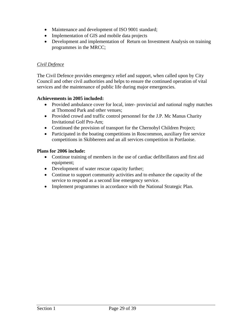- Maintenance and development of ISO 9001 standard;
- Implementation of GIS and mobile data projects
- Development and implementation of Return on Investment Analysis on training programmes in the MRCC;

## *Civil Defence*

The Civil Defence provides emergency relief and support, when called upon by City Council and other civil authorities and helps to ensure the continued operation of vital services and the maintenance of public life during major emergencies.

#### **Achievements in 2005 included:**

- Provided ambulance cover for local, inter- provincial and national rugby matches at Thomond Park and other venues;
- Provided crowd and traffic control personnel for the J.P. Mc Manus Charity Invitational Golf Pro-Am;
- Continued the provision of transport for the Chernobyl Children Project;
- Participated in the boating competitions in Roscommon, auxiliary fire service competitions in Skibbereen and an all services competition in Portlaoise.

#### **Plans for 2006 include:**

- Continue training of members in the use of cardiac defibrillators and first aid equipment;
- Development of water rescue capacity further;
- Continue to support community activities and to enhance the capacity of the service to respond as a second line emergency service.
- Implement programmes in accordance with the National Strategic Plan.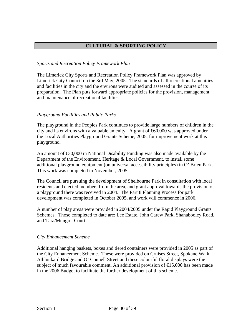## **CULTURAL & SPORTING POLICY**

## *Sports and Recreation Policy Framework Plan*

The Limerick City Sports and Recreation Policy Framework Plan was approved by Limerick City Council on the 3rd May, 2005. The standards of all recreational amenities and facilities in the city and the environs were audited and assessed in the course of its preparation. The Plan puts forward appropriate policies for the provision, management and maintenance of recreational facilities.

## *Playground Facilities and Public Parks*

The playground in the Peoples Park continues to provide large numbers of children in the city and its environs with a valuable amenity. A grant of  $60,000$  was approved under the Local Authorities Playground Grants Scheme, 2005, for improvement work at this playground.

An amount of €30,000 in National Disability Funding was also made available by the Department of the Environment, Heritage & Local Government, to install some additional playground equipment (on universal accessibility principles) in O' Brien Park. This work was completed in November, 2005.

The Council are pursuing the development of Shelbourne Park in consultation with local residents and elected members from the area, and grant approval towards the provision of a playground there was received in 2004. The Part 8 Planning Process for park development was completed in October 2005, and work will commence in 2006.

A number of play areas were provided in 2004/2005 under the Rapid Playground Grants Schemes. Those completed to date are: Lee Estate, John Carew Park, Shanabooley Road, and Tara/Mungret Court.

## *City Enhancement Scheme*

Additional hanging baskets, boxes and tiered containers were provided in 2005 as part of the City Enhancement Scheme. These were provided on Cruises Street, Spokane Walk, Athlunkard Bridge and O' Connell Street and these colourful floral displays were the subject of much favourable comment. An additional provision of  $\epsilon$  5,000 has been made in the 2006 Budget to facilitate the further development of this scheme.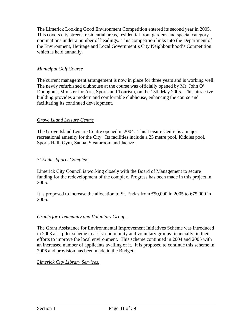The Limerick Looking Good Environment Competition entered its second year in 2005. This covers city streets, residential areas, residential front gardens and special category nominations under a number of headings. This competition links into the Department of the Environment, Heritage and Local Government's City Neighbourhood's Competition which is held annually.

## *Municipal Golf Course*

The current management arrangement is now in place for three years and is working well. The newly refurbished clubhouse at the course was officially opened by Mr. John O' Donoghue, Minister for Arts, Sports and Tourism, on the 13th May 2005. This attractive building provides a modern and comfortable clubhouse, enhancing the course and facilitating its continued development.

## *Grove Island Leisure Centre*

The Grove Island Leisure Centre opened in 2004. This Leisure Centre is a major recreational amenity for the City. Its facilities include a 25 metre pool, Kiddies pool, Sports Hall, Gym, Sauna, Steamroom and Jacuzzi.

## *St Endas Sports Complex*

Limerick City Council is working closely with the Board of Management to secure funding for the redevelopment of the complex. Progress has been made in this project in 2005.

It is proposed to increase the allocation to St. Endas from  $\text{\textsterling}0,000$  in 2005 to  $\text{\textsterling}7,000$  in 2006.

## *Grants for Community and Voluntary Groups*

The Grant Assistance for Environmental Improvement Initiatives Scheme was introduced in 2003 as a pilot scheme to assist community and voluntary groups financially, in their efforts to improve the local environment. This scheme continued in 2004 and 2005 with an increased number of applicants availing of it. It is proposed to continue this scheme in 2006 and provision has been made in the Budget.

#### *Limerick City Library Services.*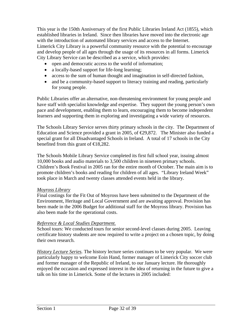This year is the 150th Anniversary of the first Public Libraries Ireland Act (1855), which established libraries in Ireland. Since then libraries have moved into the electronic age with the introduction of automated library services and access to the Internet. Limerick City Library is a powerful community resource with the potential to encourage and develop people of all ages through the usage of its resources in all forms. Limerick City Library Service can be described as a service, which provides:

- open and democratic access to the world of information;
- a locally-based support for life-long learning;
- access to the sum of human thought and imagination in self-directed fashion,
- and be a community-based support to literacy training and reading, particularly for young people.

Public Libraries offer an alternative, non-threatening environment for young people and have staff with specialist knowledge and expertise. They support the young person's own pace and development, enabling them to learn, encouraging them to become independent learners and supporting them in exploring and investigating a wide variety of resources.

The Schools Library Service serves thirty primary schools in the city. The Department of Education and Science provided a grant in 2005, of  $\epsilon$ 29,872. The Minister also funded a special grant for all Disadvantaged Schools in Ireland. A total of 17 schools in the City benefited from this grant of  $\in$ 18,282.

The Schools Mobile Library Service completed its first full school year, issuing almost 10,000 books and audio materials to 3,500 children in nineteen primary schools. Children's Book Festival in 2005 ran for the entire month of October. The main aim is to promote children's books and reading for children of all ages. "Library Ireland Week" took place in March and twenty classes attended events held in the library.

## *Moyross Library*

Final costings for the Fit Out of Moyross have been submitted to the Department of the Environment, Heritage and Local Government and are awaiting approval. Provision has been made in the 2006 Budget for additional staff for the Moyross library. Provision has also been made for the operational costs.

## *Reference & Local Studies Department.*

School tours: We conducted tours for senior second-level classes during 2005. Leaving certificate history students are now required to write a project on a chosen topic, by doing their own research.

*History Lecture Series.* The history lecture series continues to be very popular. We were particularly happy to welcome Eoin Hand, former manager of Limerick City soccer club and former manager of the Republic of Ireland, to our January lecture. He thoroughly enjoyed the occasion and expressed interest in the idea of returning in the future to give a talk on his time in Limerick. Some of the lectures in 2005 included: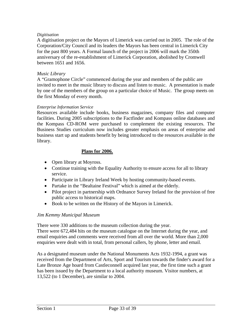## *Digitisation*

A digitisation project on the Mayors of Limerick was carried out in 2005. The role of the Corporation/City Council and its leaders the Mayors has been central in Limerick City for the past 800 years. A Formal launch of the project in 2006 will mark the 350th anniversary of the re-establishment of Limerick Corporation, abolished by Cromwell between 1651 and 1656.

## *Music Library*

A "Gramophone Circle" commenced during the year and members of the public are invited to meet in the music library to discuss and listen to music. A presentation is made by one of the members of the group on a particular choice of Music. The group meets on the first Monday of every month.

#### *Enterprise Information Service*

Resources available include books, business magazines, company files and computer facilities. During 2005 subscriptions to the Factfinder and Kompass online databases and the Kompass CD-ROM were purchased to complement the existing resources. The Business Studies curriculum now includes greater emphasis on areas of enterprise and business start up and students benefit by being introduced to the resources available in the library.

## **Plans for 2006.**

- Open library at Moyross.
- Continue training with the Equality Authority to ensure access for all to library service.
- Participate in Library Ireland Week by hosting community-based events.
- Partake in the "Bealtaine Festival" which is aimed at the elderly.
- Pilot project in partnership with Ordnance Survey Ireland for the provision of free public access to historical maps.
- Book to be written on the History of the Mayors in Limerick.

## *Jim Kemmy Municipal Museum*

There were 330 additions to the museum collection during the year. There were 672,484 hits on the museum catalogue on the Internet during the year, and email enquiries and comments were received from all over the world. More than 2,000 enquiries were dealt with in total, from personal callers, by phone, letter and email.

As a designated museum under the National Monuments Acts 1932-1994, a grant was received from the Department of Arts, Sport and Tourism towards the finder's award for a Late Bronze Age hoard from Castleconnell acquired last year, the first time such a grant has been issued by the Department to a local authority museum. Visitor numbers, at 13,522 (to 1 December), are similar to 2004.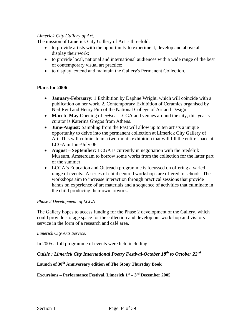## *Limerick City Gallery of Art.*

The mission of Limerick City Gallery of Art is threefold:

- to provide artists with the opportunity to experiment, develop and above all display their work;
- to provide local, national and international audiences with a wide range of the best of contemporary visual art practice;
- to display, extend and maintain the Gallery's Permanent Collection.

## **Plans for 2006**

- **January-February:** 1.Exhibition by Daphne Wright, which will coincide with a publication on her work. 2. Contemporary Exhibition of Ceramics organised by Neil Reid and Henry Pim of the National College of Art and Design.
- **March -May**: Opening of ev+a at LCGA and venues around the city, this year's curator is Katerina Gregos from Athens.
- **June-August:** Sampling from the Past will allow up to ten artists a unique opportunity to delve into the permanent collection at Limerick City Gallery of Art. This will culminate in a two-month exhibition that will fill the entire space at LCGA in June/July 06.
- **August September:** LCGA is currently in negotiation with the Stedelijk Museum, Amsterdam to borrow some works from the collection for the latter part of the summer.
- LCGA's Education and Outreach programme is focussed on offering a varied range of events. A series of child centred workshops are offered to schools. The workshops aim to increase interaction through practical sessions that provide hands on experience of art materials and a sequence of activities that culminate in the child producing their own artwork.

## *Phase 2 Development of LCGA*

The Gallery hopes to access funding for the Phase 2 development of the Gallery, which could provide storage space for the collection and develop our workshop and visitors service in the form of a research and café area.

#### *Limerick City Arts Service.*

In 2005 a full programme of events were held including:

## *Cuisle : Limerick City International Poetry Festival-October 18th to October 22nd*

## **Launch of 30th Anniversary edition of The Stony Thursday Book**

## **Excursions – Performance Festival, Limerick 1st – 3rd December 2005**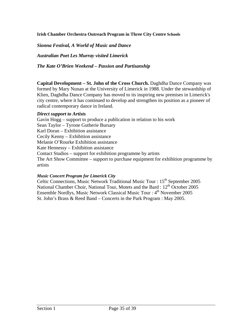## **Irish Chamber Orchestra Outreach Program in Three City Centre Schools**

*Sionna Festival, A World of Music and Dance* 

*Australian Poet Les Murray visited Limerick*

*The Kate O'Brien Weekend – Passion and Partisanship* 

**Capital Development – St. John of the Cross Church.** Daghdha Dance Company was formed by Mary Nunan at the University of Limerick in 1988. Under the stewardship of Klien, Daghdha Dance Company has moved to its inspiring new premises in Limerick's city centre, where it has continued to develop and strengthen its position as a pioneer of radical contemporary dance in Ireland.

#### *Direct support to Artists*

Gavin Hogg – support to produce a publication in relation to his work Sean Taylor – Tyrone Gutherie Bursary Karl Doran – Exhibition assistance Cecily Kenny – Exhibition assistance Melanie O'Rourke Exhibition assistance Kate Hennessy – Exhibition assistance Contact Studios – support for exhibition programme by artists The Art Show Committee – support to purchase equipment for exhibition programme by artists

#### *Music Concert Program for Limerick City*

Celtic Connections, Music Network Traditional Music Tour :  $15<sup>th</sup>$  September 2005 National Chamber Choir, National Tour, Motets and the Bard : 12<sup>th</sup> October 2005 Ensemble Nordlys, Music Network Classical Music Tour :  $4<sup>th</sup>$  November 2005 St. John's Brass & Reed Band – Concerts in the Park Program : May 2005.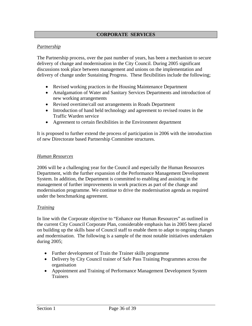## **CORPORATE SERVICES**

## *Partnership*

The Partnership process, over the past number of years, has been a mechanism to secure delivery of change and modernisation in the City Council. During 2005 significant discussions took place between management and unions on the implementation and delivery of change under Sustaining Progress. These flexibilities include the following;

- Revised working practices in the Housing Maintenance Department
- Amalgamation of Water and Sanitary Services Departments and introduction of new working arrangements
- Revised overtime/call out arrangements in Roads Department
- Introduction of hand held technology and agreement to revised routes in the Traffic Warden service
- Agreement to certain flexibilities in the Environment department

It is proposed to further extend the process of participation in 2006 with the introduction of new Directorate based Partnership Committee structures.

## *Human Resources*

2006 will be a challenging year for the Council and especially the Human Resources Department, with the further expansion of the Performance Management Development System. In addition, the Department is committed to enabling and assisting in the management of further improvements in work practices as part of the change and modernisation programme. We continue to drive the modernisation agenda as required under the benchmarking agreement.

## *Training*

In line with the Corporate objective to "Enhance our Human Resources" as outlined in the current City Council Corporate Plan, considerable emphasis has in 2005 been placed on building up the skills base of Council staff to enable them to adapt to ongoing changes and modernisation. The following is a sample of the most notable initiatives undertaken during 2005;

- Further development of Train the Trainer skills programme
- Delivery by City Council trainer of Safe Pass Training Programmes across the organisation
- Appointment and Training of Performance Management Development System **Trainers**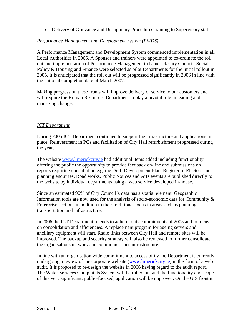• Delivery of Grievance and Disciplinary Procedures training to Supervisory staff

## *Performance Management and Development System (PMDS)*

A Performance Management and Development System commenced implementation in all Local Authorities in 2005. A Sponsor and trainers were appointed to co-ordinate the roll out and implementation of Performance Management in Limerick City Council. Social Policy & Housing and Finance were selected as pilot Departments for the initial rollout in 2005. It is anticipated that the roll out will be progressed significantly in 2006 in line with the national completion date of March 2007.

Making progress on these fronts will improve delivery of service to our customers and will require the Human Resources Department to play a pivotal role in leading and managing change.

## *ICT Department*

During 2005 ICT Department continued to support the infrastructure and applications in place. Reinvestment in PCs and facilitation of City Hall refurbishment progressed during the year.

The website [www.limerickcity](http://www.limerickcity/).ie had additional items added including functionality offering the public the opportunity to provide feedback on-line and submissions on reports requiring consultation e.g. the Draft Development Plan, Register of Electors and planning enquiries. Road works, Public Notices and Arts events are published directly to the website by individual departments using a web service developed in-house.

Since an estimated 90% of City Council's data has a spatial element, Geographic Information tools are now used for the analysis of socio-economic data for Community  $\&$ Enterprise sections in addition to their traditional focus in areas such as planning, transportation and infrastructure.

In 2006 the ICT Department intends to adhere to its commitments of 2005 and to focus on consolidation and efficiencies. A replacement program for ageing servers and ancillary equipment will start. Radio links between City Hall and remote sites will be improved. The backup and security strategy will also be reviewed to further consolidate the organisations network and communications infrastructure.

In line with an organisation wide commitment to accessibility the Department is currently undergoing a review of the corporate website [\(www.limerickcity.ie\)](http://www.limerickcity.ie/) in the form of a web audit. It is proposed to re-design the website in 2006 having regard to the audit report. The Water Services Complaints System will be rolled out and the functionality and scope of this very significant, public-focused, application will be improved. On the GIS front it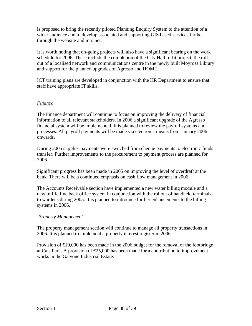is proposed to bring the recently piloted Planning Enquiry System to the attention of a wider audience and to develop associated and supporting GIS based services further through the website and intranet.

It is worth noting that on-going projects will also have a significant bearing on the work schedule for 2006. These include the completion of the City Hall re-fit project, the rollout of a localised network and communications centre in the newly built Moyross Library and support for the planned upgrades of Agresso and HOME.

ICT training plans are developed in conjunction with the HR Department to ensure that staff have appropriate IT skills.

## *Finance*

The Finance department will continue to focus on improving the delivery of financial information to all relevant stakeholders. In 2006 a significant upgrade of the Agresso financial system will be implemented. It is planned to review the payroll systems and processes. All payroll payments will be made via electronic means from January 2006 onwards.

During 2005 supplier payments were switched from cheque payments to electronic funds transfer. Further improvements to the procurement to payment process are planned for 2006.

Significant progress has been made in 2005 on improving the level of overdraft at the bank. There will be a continued emphasis on cash flow management in 2006.

The Accounts Receivable section have implemented a new water billing module and a new traffic fine back office system in conjunction with the rollout of handheld terminals to wardens during 2005. It is planned to introduce further enhancements to the billing systems in 2006.

## *Property Management*

The property management section will continue to manage all property transactions in 2006. It is planned to implement a property interest register in 2006.

Provision of  $\epsilon 10,000$  has been made in the 2006 budget for the removal of the footbridge at Cals Park. A provision of  $E$ 5,000 has been made for a contribution to improvement works in the Galvone Industrial Estate.